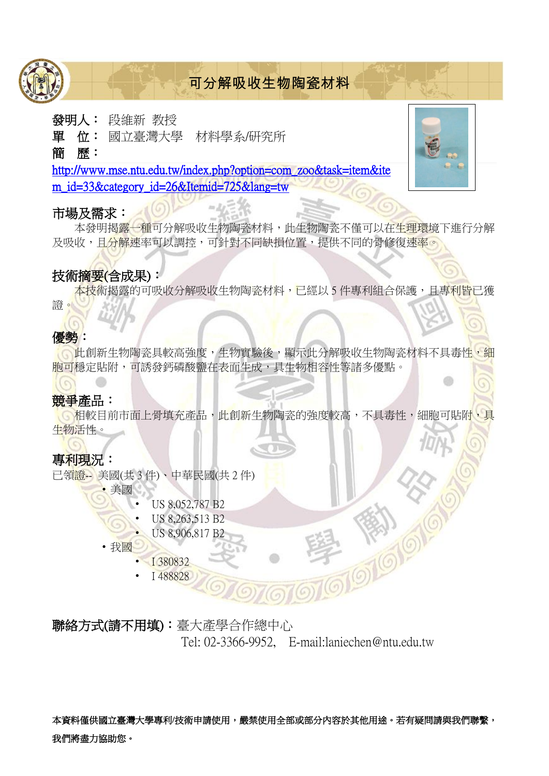

# 可分解吸收生物陶瓷材料

#### 發明人: 段維新 教授

單 位: 國立臺灣大學 材料學系/研究所

#### 簡 歷:

[http://www.mse.ntu.edu.tw/index.php?option=com\\_zoo&task=item&ite](http://www.mse.ntu.edu.tw/index.php?option=com_zoo&task=item&item_id=33&category_id=26&Itemid=725&lang=tw) m\_id=33&category\_id=26&Itemid=725&lang=tw

#### 市場及需求:

本發明揭露一種可分解吸收生物陶瓷材料,此生物陶瓷不僅可以在生理環境下進行分解 及吸收,目<mark>分解速</mark>率可以調控,可針對不同缺損位置,提供不同的骨修復<mark>速率</mark>。

#### 技術摘要(含成果):

<mark>本技術揭露的可吸收分解吸收生物陶瓷材料,已經以 5 件專利組合保護,且專利皆</mark>已獲 證。

#### 優勢:

此創新生物陶瓷具較高強度,生物實驗後,顯示此分解吸收生物陶瓷材料不具毒性,細 胞可穩定貼附,可誘發鈣磷酸鹽在表面生成,具生物相容性等諸多優點。

### 競爭產品:

相較目前市面上骨填充產品,此創新生物陶瓷的強度較高,不具毒性,細胞可貼附,具 生物活性。

### 專利現況:

已領證-- 美國(共 3 件)、中華民國(共 2 件)

• 美國

- US 8,052,787 B2
- US 8,263,513 B2
- US 8,906,817 B2
- 我國
	- I 380832
	- I 488828

聯絡方式(請不用填):臺大產學合作總中心 Tel: 02-3366-9952, E-mail:laniechen@ntu.edu.tw

本資料僅供國立臺灣大學專利/技術申請使用,嚴禁使用全部或部分內容於其他用途。若有疑問請與我們聯繫, 我們將盡力協助您。